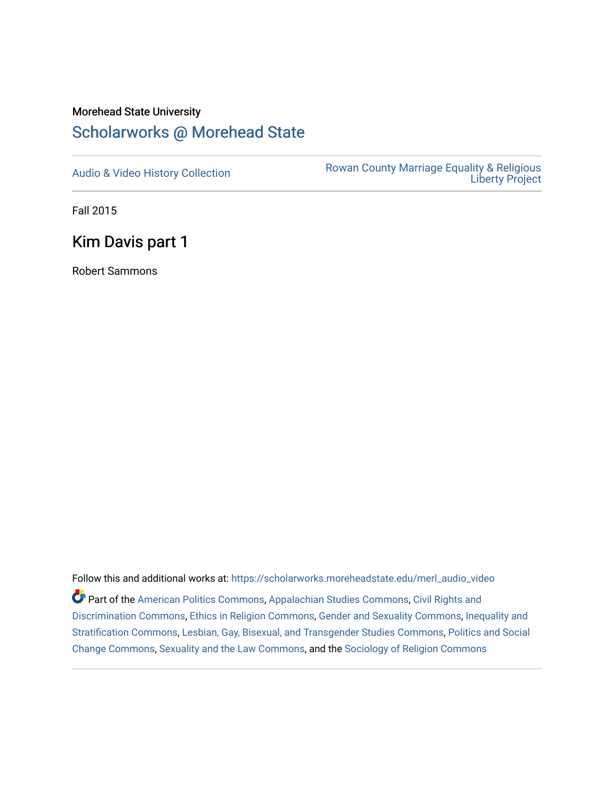# Morehead State University

# [Scholarworks @ Morehead State](https://scholarworks.moreheadstate.edu/)

[Audio & Video History Collection](https://scholarworks.moreheadstate.edu/merl_audio_video) **Rowan County Marriage Equality & Religious** [Liberty Project](https://scholarworks.moreheadstate.edu/merl) 

Fall 2015

# Kim Davis part 1

Robert Sammons

Follow this and additional works at: [https://scholarworks.moreheadstate.edu/merl\\_audio\\_video](https://scholarworks.moreheadstate.edu/merl_audio_video?utm_source=scholarworks.moreheadstate.edu%2Fmerl_audio_video%2F89&utm_medium=PDF&utm_campaign=PDFCoverPages)  Part of the [American Politics Commons,](http://network.bepress.com/hgg/discipline/387?utm_source=scholarworks.moreheadstate.edu%2Fmerl_audio_video%2F89&utm_medium=PDF&utm_campaign=PDFCoverPages) [Appalachian Studies Commons,](http://network.bepress.com/hgg/discipline/1253?utm_source=scholarworks.moreheadstate.edu%2Fmerl_audio_video%2F89&utm_medium=PDF&utm_campaign=PDFCoverPages) [Civil Rights and](http://network.bepress.com/hgg/discipline/585?utm_source=scholarworks.moreheadstate.edu%2Fmerl_audio_video%2F89&utm_medium=PDF&utm_campaign=PDFCoverPages) [Discrimination Commons,](http://network.bepress.com/hgg/discipline/585?utm_source=scholarworks.moreheadstate.edu%2Fmerl_audio_video%2F89&utm_medium=PDF&utm_campaign=PDFCoverPages) [Ethics in Religion Commons,](http://network.bepress.com/hgg/discipline/541?utm_source=scholarworks.moreheadstate.edu%2Fmerl_audio_video%2F89&utm_medium=PDF&utm_campaign=PDFCoverPages) [Gender and Sexuality Commons](http://network.bepress.com/hgg/discipline/420?utm_source=scholarworks.moreheadstate.edu%2Fmerl_audio_video%2F89&utm_medium=PDF&utm_campaign=PDFCoverPages), [Inequality and](http://network.bepress.com/hgg/discipline/421?utm_source=scholarworks.moreheadstate.edu%2Fmerl_audio_video%2F89&utm_medium=PDF&utm_campaign=PDFCoverPages)  [Stratification Commons](http://network.bepress.com/hgg/discipline/421?utm_source=scholarworks.moreheadstate.edu%2Fmerl_audio_video%2F89&utm_medium=PDF&utm_campaign=PDFCoverPages), [Lesbian, Gay, Bisexual, and Transgender Studies Commons,](http://network.bepress.com/hgg/discipline/560?utm_source=scholarworks.moreheadstate.edu%2Fmerl_audio_video%2F89&utm_medium=PDF&utm_campaign=PDFCoverPages) [Politics and Social](http://network.bepress.com/hgg/discipline/425?utm_source=scholarworks.moreheadstate.edu%2Fmerl_audio_video%2F89&utm_medium=PDF&utm_campaign=PDFCoverPages)  [Change Commons](http://network.bepress.com/hgg/discipline/425?utm_source=scholarworks.moreheadstate.edu%2Fmerl_audio_video%2F89&utm_medium=PDF&utm_campaign=PDFCoverPages), [Sexuality and the Law Commons,](http://network.bepress.com/hgg/discipline/877?utm_source=scholarworks.moreheadstate.edu%2Fmerl_audio_video%2F89&utm_medium=PDF&utm_campaign=PDFCoverPages) and the [Sociology of Religion Commons](http://network.bepress.com/hgg/discipline/1365?utm_source=scholarworks.moreheadstate.edu%2Fmerl_audio_video%2F89&utm_medium=PDF&utm_campaign=PDFCoverPages)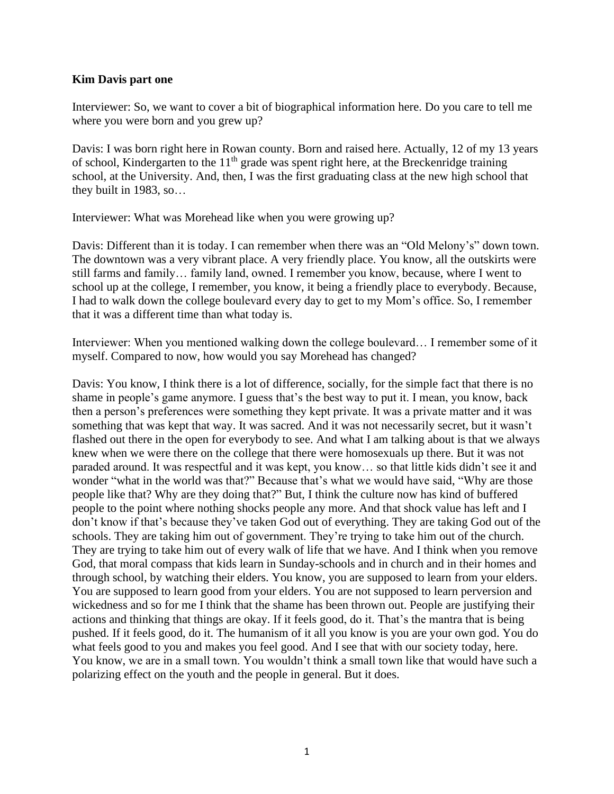#### **Kim Davis part one**

Interviewer: So, we want to cover a bit of biographical information here. Do you care to tell me where you were born and you grew up?

Davis: I was born right here in Rowan county. Born and raised here. Actually, 12 of my 13 years of school, Kindergarten to the  $11<sup>th</sup>$  grade was spent right here, at the Breckenridge training school, at the University. And, then, I was the first graduating class at the new high school that they built in 1983, so…

Interviewer: What was Morehead like when you were growing up?

Davis: Different than it is today. I can remember when there was an "Old Melony's" down town. The downtown was a very vibrant place. A very friendly place. You know, all the outskirts were still farms and family… family land, owned. I remember you know, because, where I went to school up at the college, I remember, you know, it being a friendly place to everybody. Because, I had to walk down the college boulevard every day to get to my Mom's office. So, I remember that it was a different time than what today is.

Interviewer: When you mentioned walking down the college boulevard... I remember some of it myself. Compared to now, how would you say Morehead has changed?

Davis: You know, I think there is a lot of difference, socially, for the simple fact that there is no shame in people's game anymore. I guess that's the best way to put it. I mean, you know, back then a person's preferences were something they kept private. It was a private matter and it was something that was kept that way. It was sacred. And it was not necessarily secret, but it wasn't flashed out there in the open for everybody to see. And what I am talking about is that we always knew when we were there on the college that there were homosexuals up there. But it was not paraded around. It was respectful and it was kept, you know… so that little kids didn't see it and wonder "what in the world was that?" Because that's what we would have said, "Why are those people like that? Why are they doing that?" But, I think the culture now has kind of buffered people to the point where nothing shocks people any more. And that shock value has left and I don't know if that's because they've taken God out of everything. They are taking God out of the schools. They are taking him out of government. They're trying to take him out of the church. They are trying to take him out of every walk of life that we have. And I think when you remove God, that moral compass that kids learn in Sunday-schools and in church and in their homes and through school, by watching their elders. You know, you are supposed to learn from your elders. You are supposed to learn good from your elders. You are not supposed to learn perversion and wickedness and so for me I think that the shame has been thrown out. People are justifying their actions and thinking that things are okay. If it feels good, do it. That's the mantra that is being pushed. If it feels good, do it. The humanism of it all you know is you are your own god. You do what feels good to you and makes you feel good. And I see that with our society today, here. You know, we are in a small town. You wouldn't think a small town like that would have such a polarizing effect on the youth and the people in general. But it does.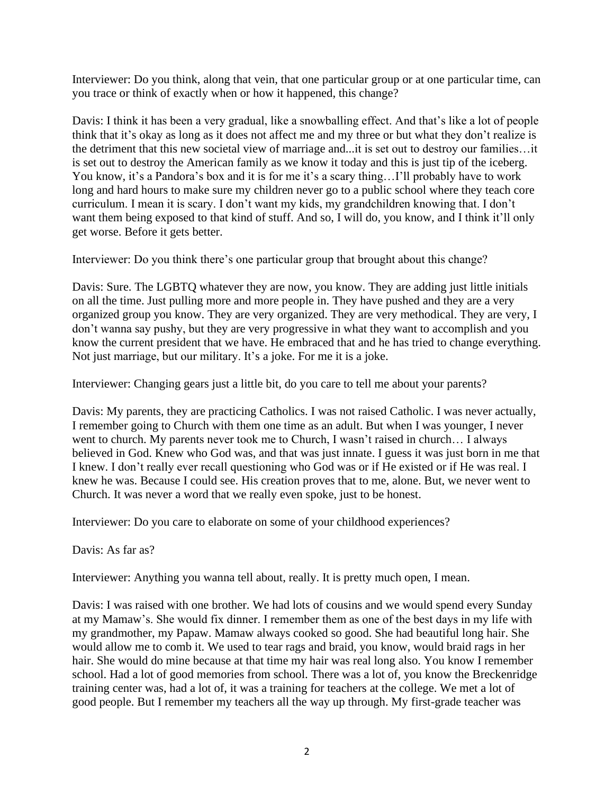Interviewer: Do you think, along that vein, that one particular group or at one particular time, can you trace or think of exactly when or how it happened, this change?

Davis: I think it has been a very gradual, like a snowballing effect. And that's like a lot of people think that it's okay as long as it does not affect me and my three or but what they don't realize is the detriment that this new societal view of marriage and...it is set out to destroy our families…it is set out to destroy the American family as we know it today and this is just tip of the iceberg. You know, it's a Pandora's box and it is for me it's a scary thing...I'll probably have to work long and hard hours to make sure my children never go to a public school where they teach core curriculum. I mean it is scary. I don't want my kids, my grandchildren knowing that. I don't want them being exposed to that kind of stuff. And so, I will do, you know, and I think it'll only get worse. Before it gets better.

Interviewer: Do you think there's one particular group that brought about this change?

Davis: Sure. The LGBTQ whatever they are now, you know. They are adding just little initials on all the time. Just pulling more and more people in. They have pushed and they are a very organized group you know. They are very organized. They are very methodical. They are very, I don't wanna say pushy, but they are very progressive in what they want to accomplish and you know the current president that we have. He embraced that and he has tried to change everything. Not just marriage, but our military. It's a joke. For me it is a joke.

Interviewer: Changing gears just a little bit, do you care to tell me about your parents?

Davis: My parents, they are practicing Catholics. I was not raised Catholic. I was never actually, I remember going to Church with them one time as an adult. But when I was younger, I never went to church. My parents never took me to Church, I wasn't raised in church… I always believed in God. Knew who God was, and that was just innate. I guess it was just born in me that I knew. I don't really ever recall questioning who God was or if He existed or if He was real. I knew he was. Because I could see. His creation proves that to me, alone. But, we never went to Church. It was never a word that we really even spoke, just to be honest.

Interviewer: Do you care to elaborate on some of your childhood experiences?

Davis: As far as?

Interviewer: Anything you wanna tell about, really. It is pretty much open, I mean.

Davis: I was raised with one brother. We had lots of cousins and we would spend every Sunday at my Mamaw's. She would fix dinner. I remember them as one of the best days in my life with my grandmother, my Papaw. Mamaw always cooked so good. She had beautiful long hair. She would allow me to comb it. We used to tear rags and braid, you know, would braid rags in her hair. She would do mine because at that time my hair was real long also. You know I remember school. Had a lot of good memories from school. There was a lot of, you know the Breckenridge training center was, had a lot of, it was a training for teachers at the college. We met a lot of good people. But I remember my teachers all the way up through. My first-grade teacher was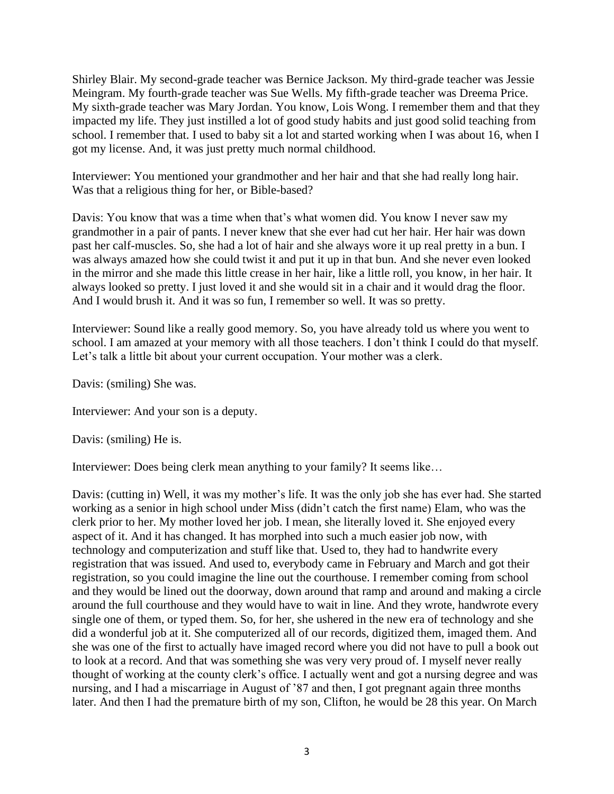Shirley Blair. My second-grade teacher was Bernice Jackson. My third-grade teacher was Jessie Meingram. My fourth-grade teacher was Sue Wells. My fifth-grade teacher was Dreema Price. My sixth-grade teacher was Mary Jordan. You know, Lois Wong. I remember them and that they impacted my life. They just instilled a lot of good study habits and just good solid teaching from school. I remember that. I used to baby sit a lot and started working when I was about 16, when I got my license. And, it was just pretty much normal childhood.

Interviewer: You mentioned your grandmother and her hair and that she had really long hair. Was that a religious thing for her, or Bible-based?

Davis: You know that was a time when that's what women did. You know I never saw my grandmother in a pair of pants. I never knew that she ever had cut her hair. Her hair was down past her calf-muscles. So, she had a lot of hair and she always wore it up real pretty in a bun. I was always amazed how she could twist it and put it up in that bun. And she never even looked in the mirror and she made this little crease in her hair, like a little roll, you know, in her hair. It always looked so pretty. I just loved it and she would sit in a chair and it would drag the floor. And I would brush it. And it was so fun, I remember so well. It was so pretty.

Interviewer: Sound like a really good memory. So, you have already told us where you went to school. I am amazed at your memory with all those teachers. I don't think I could do that myself. Let's talk a little bit about your current occupation. Your mother was a clerk.

Davis: (smiling) She was.

Interviewer: And your son is a deputy.

Davis: (smiling) He is.

Interviewer: Does being clerk mean anything to your family? It seems like…

Davis: (cutting in) Well, it was my mother's life. It was the only job she has ever had. She started working as a senior in high school under Miss (didn't catch the first name) Elam, who was the clerk prior to her. My mother loved her job. I mean, she literally loved it. She enjoyed every aspect of it. And it has changed. It has morphed into such a much easier job now, with technology and computerization and stuff like that. Used to, they had to handwrite every registration that was issued. And used to, everybody came in February and March and got their registration, so you could imagine the line out the courthouse. I remember coming from school and they would be lined out the doorway, down around that ramp and around and making a circle around the full courthouse and they would have to wait in line. And they wrote, handwrote every single one of them, or typed them. So, for her, she ushered in the new era of technology and she did a wonderful job at it. She computerized all of our records, digitized them, imaged them. And she was one of the first to actually have imaged record where you did not have to pull a book out to look at a record. And that was something she was very very proud of. I myself never really thought of working at the county clerk's office. I actually went and got a nursing degree and was nursing, and I had a miscarriage in August of '87 and then, I got pregnant again three months later. And then I had the premature birth of my son, Clifton, he would be 28 this year. On March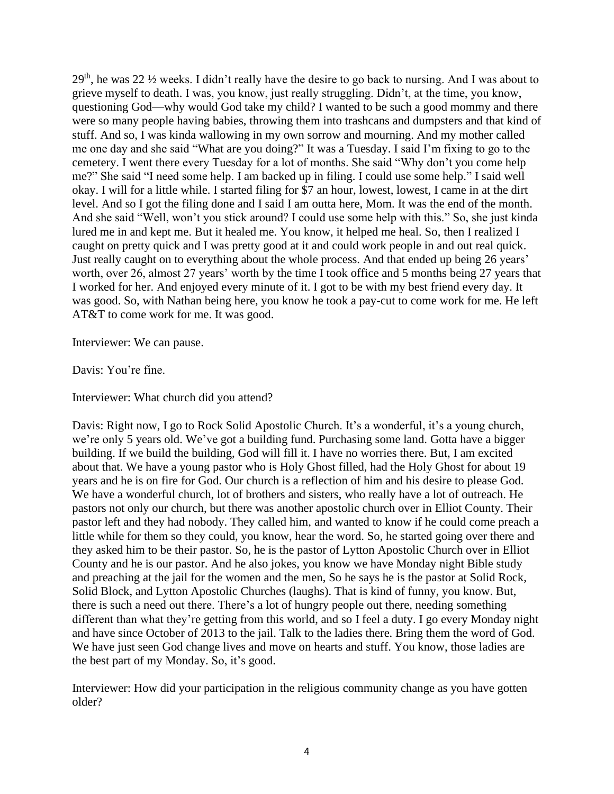29th, he was 22 ½ weeks. I didn't really have the desire to go back to nursing. And I was about to grieve myself to death. I was, you know, just really struggling. Didn't, at the time, you know, questioning God—why would God take my child? I wanted to be such a good mommy and there were so many people having babies, throwing them into trashcans and dumpsters and that kind of stuff. And so, I was kinda wallowing in my own sorrow and mourning. And my mother called me one day and she said "What are you doing?" It was a Tuesday. I said I'm fixing to go to the cemetery. I went there every Tuesday for a lot of months. She said "Why don't you come help me?" She said "I need some help. I am backed up in filing. I could use some help." I said well okay. I will for a little while. I started filing for \$7 an hour, lowest, lowest, I came in at the dirt level. And so I got the filing done and I said I am outta here, Mom. It was the end of the month. And she said "Well, won't you stick around? I could use some help with this." So, she just kinda lured me in and kept me. But it healed me. You know, it helped me heal. So, then I realized I caught on pretty quick and I was pretty good at it and could work people in and out real quick. Just really caught on to everything about the whole process. And that ended up being 26 years' worth, over 26, almost 27 years' worth by the time I took office and 5 months being 27 years that I worked for her. And enjoyed every minute of it. I got to be with my best friend every day. It was good. So, with Nathan being here, you know he took a pay-cut to come work for me. He left AT&T to come work for me. It was good.

Interviewer: We can pause.

Davis: You're fine.

Interviewer: What church did you attend?

Davis: Right now, I go to Rock Solid Apostolic Church. It's a wonderful, it's a young church, we're only 5 years old. We've got a building fund. Purchasing some land. Gotta have a bigger building. If we build the building, God will fill it. I have no worries there. But, I am excited about that. We have a young pastor who is Holy Ghost filled, had the Holy Ghost for about 19 years and he is on fire for God. Our church is a reflection of him and his desire to please God. We have a wonderful church, lot of brothers and sisters, who really have a lot of outreach. He pastors not only our church, but there was another apostolic church over in Elliot County. Their pastor left and they had nobody. They called him, and wanted to know if he could come preach a little while for them so they could, you know, hear the word. So, he started going over there and they asked him to be their pastor. So, he is the pastor of Lytton Apostolic Church over in Elliot County and he is our pastor. And he also jokes, you know we have Monday night Bible study and preaching at the jail for the women and the men, So he says he is the pastor at Solid Rock, Solid Block, and Lytton Apostolic Churches (laughs). That is kind of funny, you know. But, there is such a need out there. There's a lot of hungry people out there, needing something different than what they're getting from this world, and so I feel a duty. I go every Monday night and have since October of 2013 to the jail. Talk to the ladies there. Bring them the word of God. We have just seen God change lives and move on hearts and stuff. You know, those ladies are the best part of my Monday. So, it's good.

Interviewer: How did your participation in the religious community change as you have gotten older?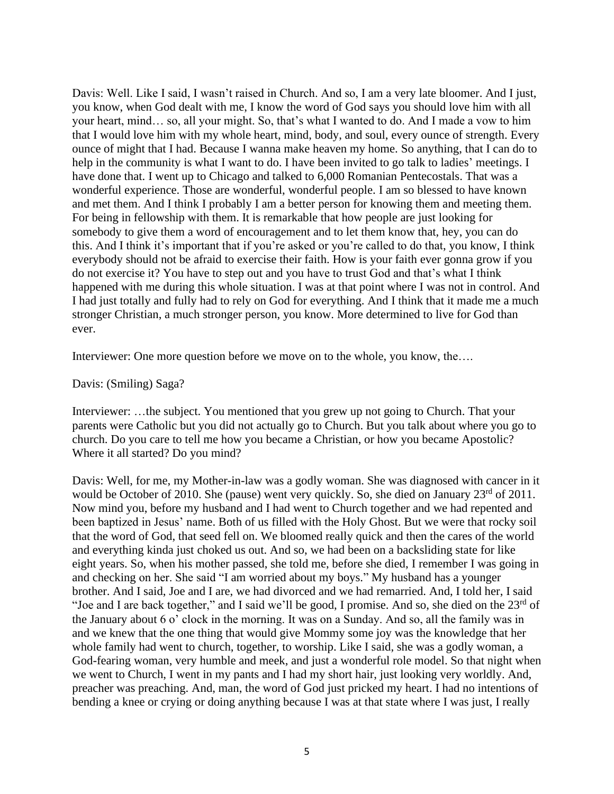Davis: Well. Like I said, I wasn't raised in Church. And so, I am a very late bloomer. And I just, you know, when God dealt with me, I know the word of God says you should love him with all your heart, mind… so, all your might. So, that's what I wanted to do. And I made a vow to him that I would love him with my whole heart, mind, body, and soul, every ounce of strength. Every ounce of might that I had. Because I wanna make heaven my home. So anything, that I can do to help in the community is what I want to do. I have been invited to go talk to ladies' meetings. I have done that. I went up to Chicago and talked to 6,000 Romanian Pentecostals. That was a wonderful experience. Those are wonderful, wonderful people. I am so blessed to have known and met them. And I think I probably I am a better person for knowing them and meeting them. For being in fellowship with them. It is remarkable that how people are just looking for somebody to give them a word of encouragement and to let them know that, hey, you can do this. And I think it's important that if you're asked or you're called to do that, you know, I think everybody should not be afraid to exercise their faith. How is your faith ever gonna grow if you do not exercise it? You have to step out and you have to trust God and that's what I think happened with me during this whole situation. I was at that point where I was not in control. And I had just totally and fully had to rely on God for everything. And I think that it made me a much stronger Christian, a much stronger person, you know. More determined to live for God than ever.

Interviewer: One more question before we move on to the whole, you know, the….

### Davis: (Smiling) Saga?

Interviewer: …the subject. You mentioned that you grew up not going to Church. That your parents were Catholic but you did not actually go to Church. But you talk about where you go to church. Do you care to tell me how you became a Christian, or how you became Apostolic? Where it all started? Do you mind?

Davis: Well, for me, my Mother-in-law was a godly woman. She was diagnosed with cancer in it would be October of 2010. She (pause) went very quickly. So, she died on January 23<sup>rd</sup> of 2011. Now mind you, before my husband and I had went to Church together and we had repented and been baptized in Jesus' name. Both of us filled with the Holy Ghost. But we were that rocky soil that the word of God, that seed fell on. We bloomed really quick and then the cares of the world and everything kinda just choked us out. And so, we had been on a backsliding state for like eight years. So, when his mother passed, she told me, before she died, I remember I was going in and checking on her. She said "I am worried about my boys." My husband has a younger brother. And I said, Joe and I are, we had divorced and we had remarried. And, I told her, I said "Joe and I are back together," and I said we'll be good, I promise. And so, she died on the  $23<sup>rd</sup>$  of the January about 6 o' clock in the morning. It was on a Sunday. And so, all the family was in and we knew that the one thing that would give Mommy some joy was the knowledge that her whole family had went to church, together, to worship. Like I said, she was a godly woman, a God-fearing woman, very humble and meek, and just a wonderful role model. So that night when we went to Church, I went in my pants and I had my short hair, just looking very worldly. And, preacher was preaching. And, man, the word of God just pricked my heart. I had no intentions of bending a knee or crying or doing anything because I was at that state where I was just, I really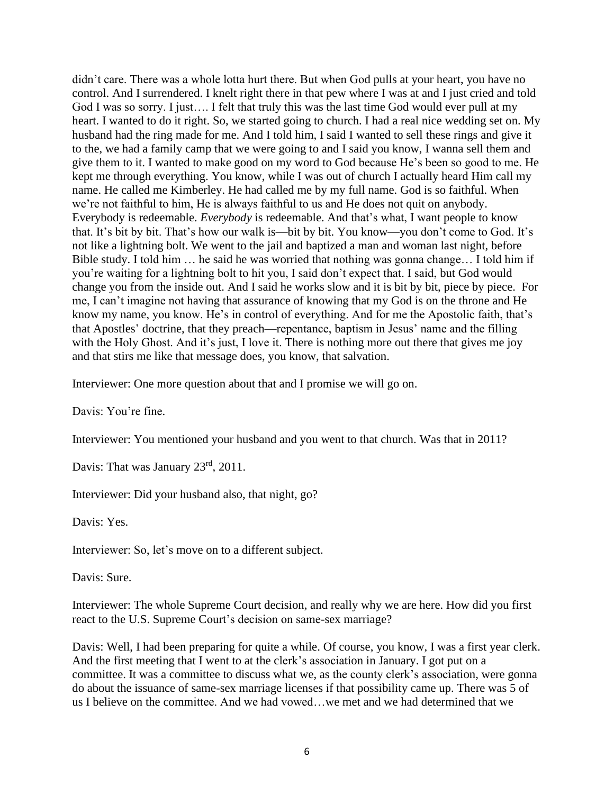didn't care. There was a whole lotta hurt there. But when God pulls at your heart, you have no control. And I surrendered. I knelt right there in that pew where I was at and I just cried and told God I was so sorry. I just…. I felt that truly this was the last time God would ever pull at my heart. I wanted to do it right. So, we started going to church. I had a real nice wedding set on. My husband had the ring made for me. And I told him, I said I wanted to sell these rings and give it to the, we had a family camp that we were going to and I said you know, I wanna sell them and give them to it. I wanted to make good on my word to God because He's been so good to me. He kept me through everything. You know, while I was out of church I actually heard Him call my name. He called me Kimberley. He had called me by my full name. God is so faithful. When we're not faithful to him, He is always faithful to us and He does not quit on anybody. Everybody is redeemable. *Everybody* is redeemable. And that's what, I want people to know that. It's bit by bit. That's how our walk is—bit by bit. You know—you don't come to God. It's not like a lightning bolt. We went to the jail and baptized a man and woman last night, before Bible study. I told him … he said he was worried that nothing was gonna change… I told him if you're waiting for a lightning bolt to hit you, I said don't expect that. I said, but God would change you from the inside out. And I said he works slow and it is bit by bit, piece by piece. For me, I can't imagine not having that assurance of knowing that my God is on the throne and He know my name, you know. He's in control of everything. And for me the Apostolic faith, that's that Apostles' doctrine, that they preach—repentance, baptism in Jesus' name and the filling with the Holy Ghost. And it's just, I love it. There is nothing more out there that gives me joy and that stirs me like that message does, you know, that salvation.

Interviewer: One more question about that and I promise we will go on.

Davis: You're fine.

Interviewer: You mentioned your husband and you went to that church. Was that in 2011?

Davis: That was January 23<sup>rd</sup>, 2011.

Interviewer: Did your husband also, that night, go?

Davis: Yes.

Interviewer: So, let's move on to a different subject.

Davis: Sure.

Interviewer: The whole Supreme Court decision, and really why we are here. How did you first react to the U.S. Supreme Court's decision on same-sex marriage?

Davis: Well, I had been preparing for quite a while. Of course, you know, I was a first year clerk. And the first meeting that I went to at the clerk's association in January. I got put on a committee. It was a committee to discuss what we, as the county clerk's association, were gonna do about the issuance of same-sex marriage licenses if that possibility came up. There was 5 of us I believe on the committee. And we had vowed…we met and we had determined that we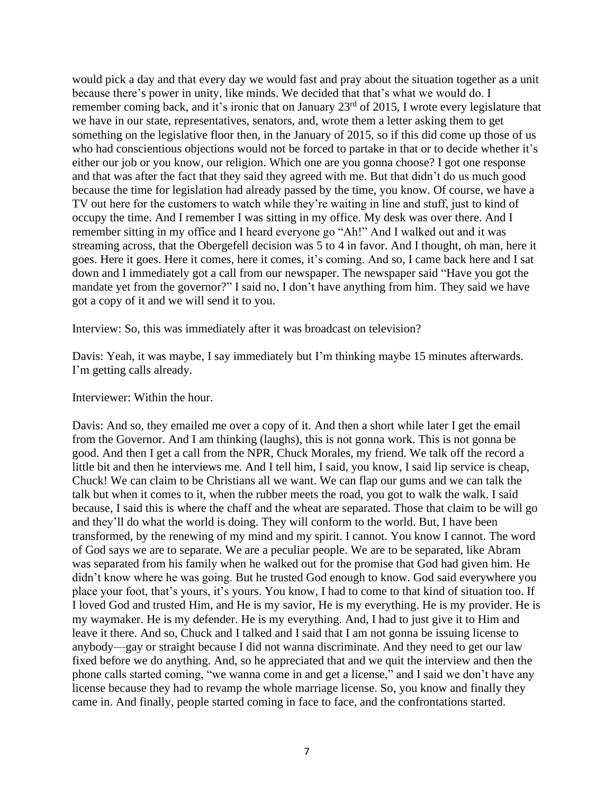would pick a day and that every day we would fast and pray about the situation together as a unit because there's power in unity, like minds. We decided that that's what we would do. I remember coming back, and it's ironic that on January 23<sup>rd</sup> of 2015, I wrote every legislature that we have in our state, representatives, senators, and, wrote them a letter asking them to get something on the legislative floor then, in the January of 2015, so if this did come up those of us who had conscientious objections would not be forced to partake in that or to decide whether it's either our job or you know, our religion. Which one are you gonna choose? I got one response and that was after the fact that they said they agreed with me. But that didn't do us much good because the time for legislation had already passed by the time, you know. Of course, we have a TV out here for the customers to watch while they're waiting in line and stuff, just to kind of occupy the time. And I remember I was sitting in my office. My desk was over there. And I remember sitting in my office and I heard everyone go "Ah!" And I walked out and it was streaming across, that the Obergefell decision was 5 to 4 in favor. And I thought, oh man, here it goes. Here it goes. Here it comes, here it comes, it's coming. And so, I came back here and I sat down and I immediately got a call from our newspaper. The newspaper said "Have you got the mandate yet from the governor?" I said no, I don't have anything from him. They said we have got a copy of it and we will send it to you.

Interview: So, this was immediately after it was broadcast on television?

Davis: Yeah, it was maybe, I say immediately but I'm thinking maybe 15 minutes afterwards. I'm getting calls already.

Interviewer: Within the hour.

Davis: And so, they emailed me over a copy of it. And then a short while later I get the email from the Governor. And I am thinking (laughs), this is not gonna work. This is not gonna be good. And then I get a call from the NPR, Chuck Morales, my friend. We talk off the record a little bit and then he interviews me. And I tell him, I said, you know, I said lip service is cheap, Chuck! We can claim to be Christians all we want. We can flap our gums and we can talk the talk but when it comes to it, when the rubber meets the road, you got to walk the walk. I said because, I said this is where the chaff and the wheat are separated. Those that claim to be will go and they'll do what the world is doing. They will conform to the world. But, I have been transformed, by the renewing of my mind and my spirit. I cannot. You know I cannot. The word of God says we are to separate. We are a peculiar people. We are to be separated, like Abram was separated from his family when he walked out for the promise that God had given him. He didn't know where he was going. But he trusted God enough to know. God said everywhere you place your foot, that's yours, it's yours. You know, I had to come to that kind of situation too. If I loved God and trusted Him, and He is my savior, He is my everything. He is my provider. He is my waymaker. He is my defender. He is my everything. And, I had to just give it to Him and leave it there. And so, Chuck and I talked and I said that I am not gonna be issuing license to anybody—gay or straight because I did not wanna discriminate. And they need to get our law fixed before we do anything. And, so he appreciated that and we quit the interview and then the phone calls started coming, "we wanna come in and get a license," and I said we don't have any license because they had to revamp the whole marriage license. So, you know and finally they came in. And finally, people started coming in face to face, and the confrontations started.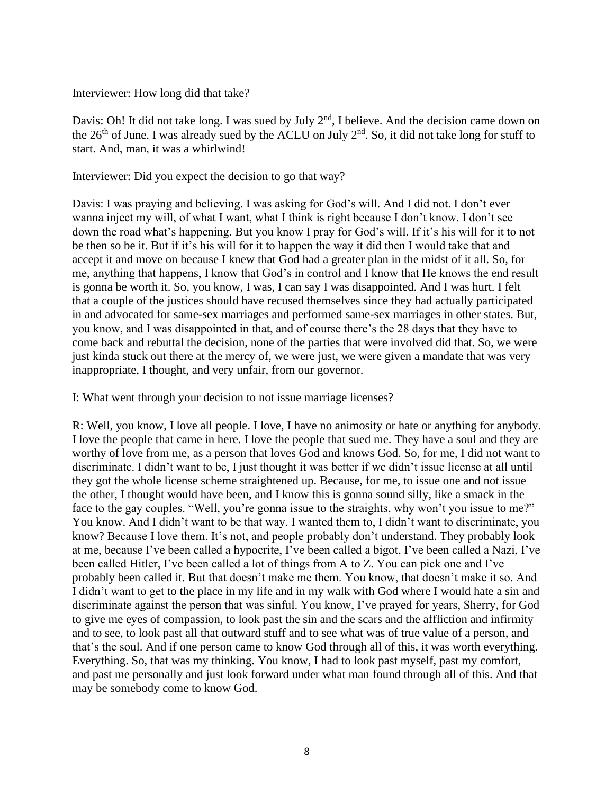### Interviewer: How long did that take?

Davis: Oh! It did not take long. I was sued by July 2<sup>nd</sup>, I believe. And the decision came down on the  $26<sup>th</sup>$  of June. I was already sued by the ACLU on July  $2<sup>nd</sup>$ . So, it did not take long for stuff to start. And, man, it was a whirlwind!

### Interviewer: Did you expect the decision to go that way?

Davis: I was praying and believing. I was asking for God's will. And I did not. I don't ever wanna inject my will, of what I want, what I think is right because I don't know. I don't see down the road what's happening. But you know I pray for God's will. If it's his will for it to not be then so be it. But if it's his will for it to happen the way it did then I would take that and accept it and move on because I knew that God had a greater plan in the midst of it all. So, for me, anything that happens, I know that God's in control and I know that He knows the end result is gonna be worth it. So, you know, I was, I can say I was disappointed. And I was hurt. I felt that a couple of the justices should have recused themselves since they had actually participated in and advocated for same-sex marriages and performed same-sex marriages in other states. But, you know, and I was disappointed in that, and of course there's the 28 days that they have to come back and rebuttal the decision, none of the parties that were involved did that. So, we were just kinda stuck out there at the mercy of, we were just, we were given a mandate that was very inappropriate, I thought, and very unfair, from our governor.

I: What went through your decision to not issue marriage licenses?

R: Well, you know, I love all people. I love, I have no animosity or hate or anything for anybody. I love the people that came in here. I love the people that sued me. They have a soul and they are worthy of love from me, as a person that loves God and knows God. So, for me, I did not want to discriminate. I didn't want to be, I just thought it was better if we didn't issue license at all until they got the whole license scheme straightened up. Because, for me, to issue one and not issue the other, I thought would have been, and I know this is gonna sound silly, like a smack in the face to the gay couples. "Well, you're gonna issue to the straights, why won't you issue to me?" You know. And I didn't want to be that way. I wanted them to, I didn't want to discriminate, you know? Because I love them. It's not, and people probably don't understand. They probably look at me, because I've been called a hypocrite, I've been called a bigot, I've been called a Nazi, I've been called Hitler, I've been called a lot of things from A to Z. You can pick one and I've probably been called it. But that doesn't make me them. You know, that doesn't make it so. And I didn't want to get to the place in my life and in my walk with God where I would hate a sin and discriminate against the person that was sinful. You know, I've prayed for years, Sherry, for God to give me eyes of compassion, to look past the sin and the scars and the affliction and infirmity and to see, to look past all that outward stuff and to see what was of true value of a person, and that's the soul. And if one person came to know God through all of this, it was worth everything. Everything. So, that was my thinking. You know, I had to look past myself, past my comfort, and past me personally and just look forward under what man found through all of this. And that may be somebody come to know God.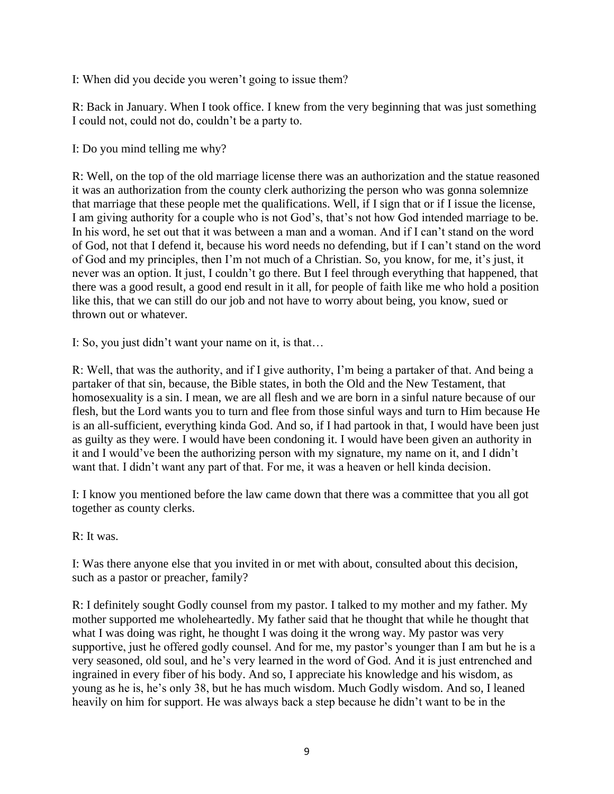I: When did you decide you weren't going to issue them?

R: Back in January. When I took office. I knew from the very beginning that was just something I could not, could not do, couldn't be a party to.

I: Do you mind telling me why?

R: Well, on the top of the old marriage license there was an authorization and the statue reasoned it was an authorization from the county clerk authorizing the person who was gonna solemnize that marriage that these people met the qualifications. Well, if I sign that or if I issue the license, I am giving authority for a couple who is not God's, that's not how God intended marriage to be. In his word, he set out that it was between a man and a woman. And if I can't stand on the word of God, not that I defend it, because his word needs no defending, but if I can't stand on the word of God and my principles, then I'm not much of a Christian. So, you know, for me, it's just, it never was an option. It just, I couldn't go there. But I feel through everything that happened, that there was a good result, a good end result in it all, for people of faith like me who hold a position like this, that we can still do our job and not have to worry about being, you know, sued or thrown out or whatever.

I: So, you just didn't want your name on it, is that…

R: Well, that was the authority, and if I give authority, I'm being a partaker of that. And being a partaker of that sin, because, the Bible states, in both the Old and the New Testament, that homosexuality is a sin. I mean, we are all flesh and we are born in a sinful nature because of our flesh, but the Lord wants you to turn and flee from those sinful ways and turn to Him because He is an all-sufficient, everything kinda God. And so, if I had partook in that, I would have been just as guilty as they were. I would have been condoning it. I would have been given an authority in it and I would've been the authorizing person with my signature, my name on it, and I didn't want that. I didn't want any part of that. For me, it was a heaven or hell kinda decision.

I: I know you mentioned before the law came down that there was a committee that you all got together as county clerks.

R: It was.

I: Was there anyone else that you invited in or met with about, consulted about this decision, such as a pastor or preacher, family?

R: I definitely sought Godly counsel from my pastor. I talked to my mother and my father. My mother supported me wholeheartedly. My father said that he thought that while he thought that what I was doing was right, he thought I was doing it the wrong way. My pastor was very supportive, just he offered godly counsel. And for me, my pastor's younger than I am but he is a very seasoned, old soul, and he's very learned in the word of God. And it is just entrenched and ingrained in every fiber of his body. And so, I appreciate his knowledge and his wisdom, as young as he is, he's only 38, but he has much wisdom. Much Godly wisdom. And so, I leaned heavily on him for support. He was always back a step because he didn't want to be in the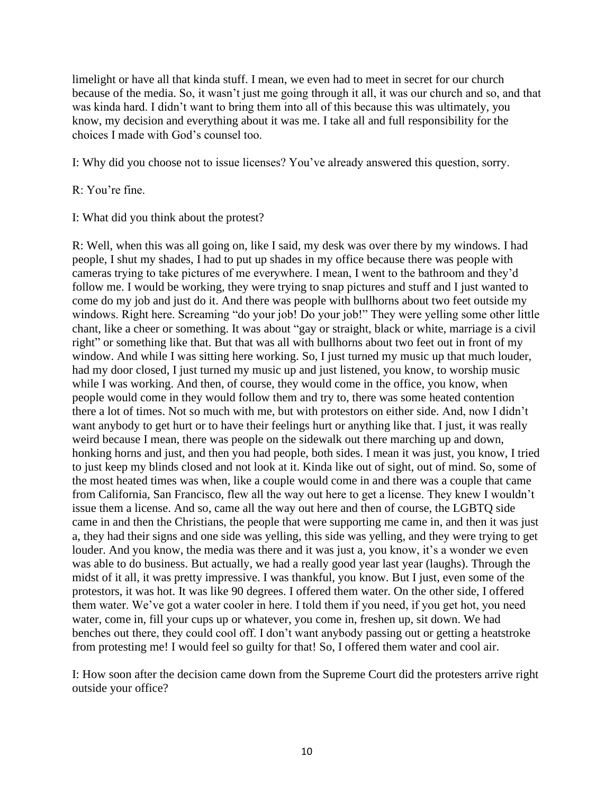limelight or have all that kinda stuff. I mean, we even had to meet in secret for our church because of the media. So, it wasn't just me going through it all, it was our church and so, and that was kinda hard. I didn't want to bring them into all of this because this was ultimately, you know, my decision and everything about it was me. I take all and full responsibility for the choices I made with God's counsel too.

I: Why did you choose not to issue licenses? You've already answered this question, sorry.

R: You're fine.

I: What did you think about the protest?

R: Well, when this was all going on, like I said, my desk was over there by my windows. I had people, I shut my shades, I had to put up shades in my office because there was people with cameras trying to take pictures of me everywhere. I mean, I went to the bathroom and they'd follow me. I would be working, they were trying to snap pictures and stuff and I just wanted to come do my job and just do it. And there was people with bullhorns about two feet outside my windows. Right here. Screaming "do your job! Do your job!" They were yelling some other little chant, like a cheer or something. It was about "gay or straight, black or white, marriage is a civil right" or something like that. But that was all with bullhorns about two feet out in front of my window. And while I was sitting here working. So, I just turned my music up that much louder, had my door closed, I just turned my music up and just listened, you know, to worship music while I was working. And then, of course, they would come in the office, you know, when people would come in they would follow them and try to, there was some heated contention there a lot of times. Not so much with me, but with protestors on either side. And, now I didn't want anybody to get hurt or to have their feelings hurt or anything like that. I just, it was really weird because I mean, there was people on the sidewalk out there marching up and down, honking horns and just, and then you had people, both sides. I mean it was just, you know, I tried to just keep my blinds closed and not look at it. Kinda like out of sight, out of mind. So, some of the most heated times was when, like a couple would come in and there was a couple that came from California, San Francisco, flew all the way out here to get a license. They knew I wouldn't issue them a license. And so, came all the way out here and then of course, the LGBTQ side came in and then the Christians, the people that were supporting me came in, and then it was just a, they had their signs and one side was yelling, this side was yelling, and they were trying to get louder. And you know, the media was there and it was just a, you know, it's a wonder we even was able to do business. But actually, we had a really good year last year (laughs). Through the midst of it all, it was pretty impressive. I was thankful, you know. But I just, even some of the protestors, it was hot. It was like 90 degrees. I offered them water. On the other side, I offered them water. We've got a water cooler in here. I told them if you need, if you get hot, you need water, come in, fill your cups up or whatever, you come in, freshen up, sit down. We had benches out there, they could cool off. I don't want anybody passing out or getting a heatstroke from protesting me! I would feel so guilty for that! So, I offered them water and cool air.

I: How soon after the decision came down from the Supreme Court did the protesters arrive right outside your office?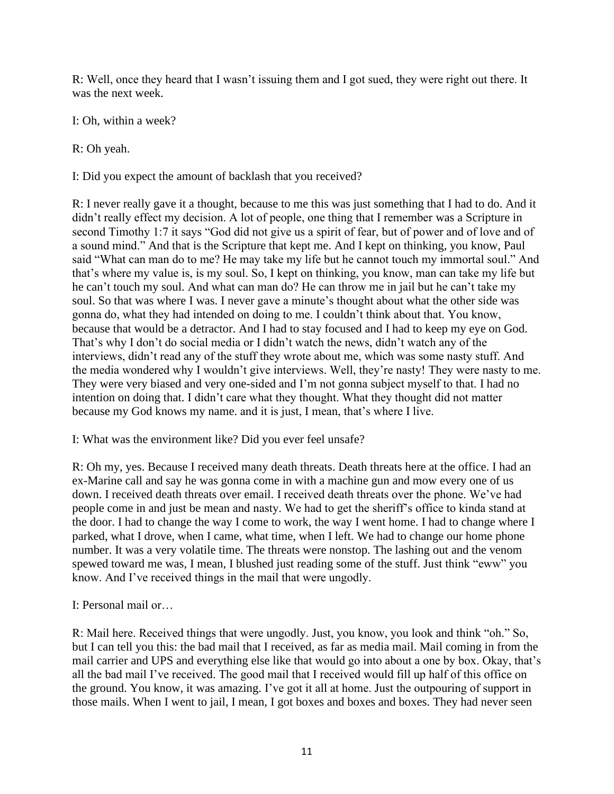R: Well, once they heard that I wasn't issuing them and I got sued, they were right out there. It was the next week.

I: Oh, within a week?

R: Oh yeah.

I: Did you expect the amount of backlash that you received?

R: I never really gave it a thought, because to me this was just something that I had to do. And it didn't really effect my decision. A lot of people, one thing that I remember was a Scripture in second Timothy 1:7 it says "God did not give us a spirit of fear, but of power and of love and of a sound mind." And that is the Scripture that kept me. And I kept on thinking, you know, Paul said "What can man do to me? He may take my life but he cannot touch my immortal soul." And that's where my value is, is my soul. So, I kept on thinking, you know, man can take my life but he can't touch my soul. And what can man do? He can throw me in jail but he can't take my soul. So that was where I was. I never gave a minute's thought about what the other side was gonna do, what they had intended on doing to me. I couldn't think about that. You know, because that would be a detractor. And I had to stay focused and I had to keep my eye on God. That's why I don't do social media or I didn't watch the news, didn't watch any of the interviews, didn't read any of the stuff they wrote about me, which was some nasty stuff. And the media wondered why I wouldn't give interviews. Well, they're nasty! They were nasty to me. They were very biased and very one-sided and I'm not gonna subject myself to that. I had no intention on doing that. I didn't care what they thought. What they thought did not matter because my God knows my name. and it is just, I mean, that's where I live.

I: What was the environment like? Did you ever feel unsafe?

R: Oh my, yes. Because I received many death threats. Death threats here at the office. I had an ex-Marine call and say he was gonna come in with a machine gun and mow every one of us down. I received death threats over email. I received death threats over the phone. We've had people come in and just be mean and nasty. We had to get the sheriff's office to kinda stand at the door. I had to change the way I come to work, the way I went home. I had to change where I parked, what I drove, when I came, what time, when I left. We had to change our home phone number. It was a very volatile time. The threats were nonstop. The lashing out and the venom spewed toward me was, I mean, I blushed just reading some of the stuff. Just think "eww" you know. And I've received things in the mail that were ungodly.

I: Personal mail or…

R: Mail here. Received things that were ungodly. Just, you know, you look and think "oh." So, but I can tell you this: the bad mail that I received, as far as media mail. Mail coming in from the mail carrier and UPS and everything else like that would go into about a one by box. Okay, that's all the bad mail I've received. The good mail that I received would fill up half of this office on the ground. You know, it was amazing. I've got it all at home. Just the outpouring of support in those mails. When I went to jail, I mean, I got boxes and boxes and boxes. They had never seen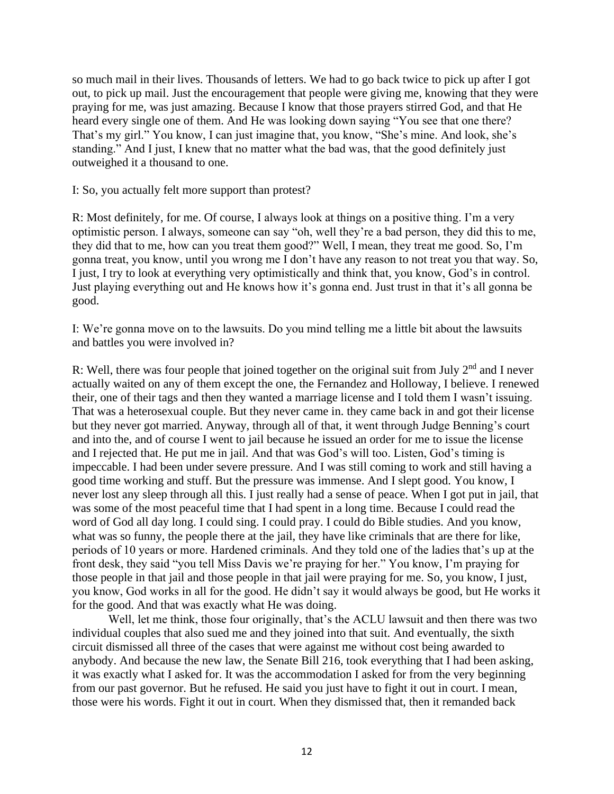so much mail in their lives. Thousands of letters. We had to go back twice to pick up after I got out, to pick up mail. Just the encouragement that people were giving me, knowing that they were praying for me, was just amazing. Because I know that those prayers stirred God, and that He heard every single one of them. And He was looking down saying "You see that one there? That's my girl." You know, I can just imagine that, you know, "She's mine. And look, she's standing." And I just, I knew that no matter what the bad was, that the good definitely just outweighed it a thousand to one.

I: So, you actually felt more support than protest?

R: Most definitely, for me. Of course, I always look at things on a positive thing. I'm a very optimistic person. I always, someone can say "oh, well they're a bad person, they did this to me, they did that to me, how can you treat them good?" Well, I mean, they treat me good. So, I'm gonna treat, you know, until you wrong me I don't have any reason to not treat you that way. So, I just, I try to look at everything very optimistically and think that, you know, God's in control. Just playing everything out and He knows how it's gonna end. Just trust in that it's all gonna be good.

I: We're gonna move on to the lawsuits. Do you mind telling me a little bit about the lawsuits and battles you were involved in?

R: Well, there was four people that joined together on the original suit from July  $2<sup>nd</sup>$  and I never actually waited on any of them except the one, the Fernandez and Holloway, I believe. I renewed their, one of their tags and then they wanted a marriage license and I told them I wasn't issuing. That was a heterosexual couple. But they never came in. they came back in and got their license but they never got married. Anyway, through all of that, it went through Judge Benning's court and into the, and of course I went to jail because he issued an order for me to issue the license and I rejected that. He put me in jail. And that was God's will too. Listen, God's timing is impeccable. I had been under severe pressure. And I was still coming to work and still having a good time working and stuff. But the pressure was immense. And I slept good. You know, I never lost any sleep through all this. I just really had a sense of peace. When I got put in jail, that was some of the most peaceful time that I had spent in a long time. Because I could read the word of God all day long. I could sing. I could pray. I could do Bible studies. And you know, what was so funny, the people there at the jail, they have like criminals that are there for like, periods of 10 years or more. Hardened criminals. And they told one of the ladies that's up at the front desk, they said "you tell Miss Davis we're praying for her." You know, I'm praying for those people in that jail and those people in that jail were praying for me. So, you know, I just, you know, God works in all for the good. He didn't say it would always be good, but He works it for the good. And that was exactly what He was doing.

Well, let me think, those four originally, that's the ACLU lawsuit and then there was two individual couples that also sued me and they joined into that suit. And eventually, the sixth circuit dismissed all three of the cases that were against me without cost being awarded to anybody. And because the new law, the Senate Bill 216, took everything that I had been asking, it was exactly what I asked for. It was the accommodation I asked for from the very beginning from our past governor. But he refused. He said you just have to fight it out in court. I mean, those were his words. Fight it out in court. When they dismissed that, then it remanded back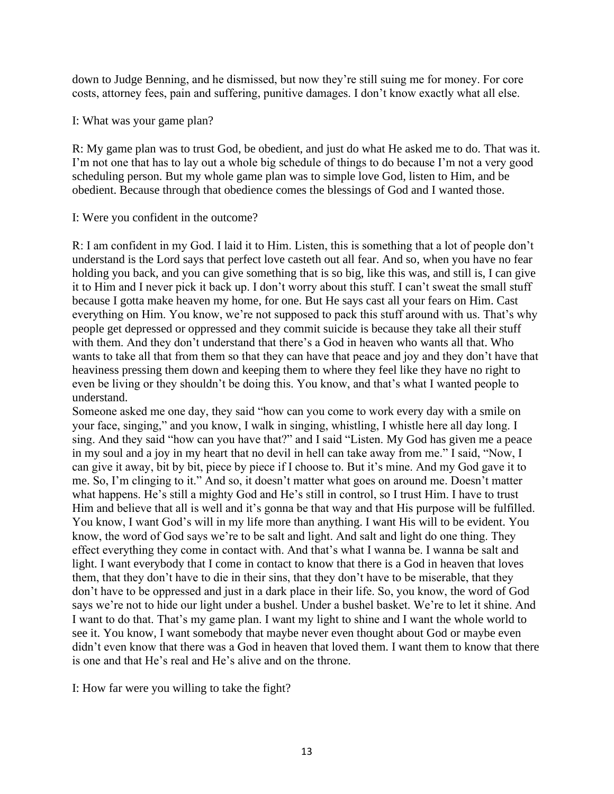down to Judge Benning, and he dismissed, but now they're still suing me for money. For core costs, attorney fees, pain and suffering, punitive damages. I don't know exactly what all else.

I: What was your game plan?

R: My game plan was to trust God, be obedient, and just do what He asked me to do. That was it. I'm not one that has to lay out a whole big schedule of things to do because I'm not a very good scheduling person. But my whole game plan was to simple love God, listen to Him, and be obedient. Because through that obedience comes the blessings of God and I wanted those.

## I: Were you confident in the outcome?

R: I am confident in my God. I laid it to Him. Listen, this is something that a lot of people don't understand is the Lord says that perfect love casteth out all fear. And so, when you have no fear holding you back, and you can give something that is so big, like this was, and still is, I can give it to Him and I never pick it back up. I don't worry about this stuff. I can't sweat the small stuff because I gotta make heaven my home, for one. But He says cast all your fears on Him. Cast everything on Him. You know, we're not supposed to pack this stuff around with us. That's why people get depressed or oppressed and they commit suicide is because they take all their stuff with them. And they don't understand that there's a God in heaven who wants all that. Who wants to take all that from them so that they can have that peace and joy and they don't have that heaviness pressing them down and keeping them to where they feel like they have no right to even be living or they shouldn't be doing this. You know, and that's what I wanted people to understand.

Someone asked me one day, they said "how can you come to work every day with a smile on your face, singing," and you know, I walk in singing, whistling, I whistle here all day long. I sing. And they said "how can you have that?" and I said "Listen. My God has given me a peace in my soul and a joy in my heart that no devil in hell can take away from me." I said, "Now, I can give it away, bit by bit, piece by piece if I choose to. But it's mine. And my God gave it to me. So, I'm clinging to it." And so, it doesn't matter what goes on around me. Doesn't matter what happens. He's still a mighty God and He's still in control, so I trust Him. I have to trust Him and believe that all is well and it's gonna be that way and that His purpose will be fulfilled. You know, I want God's will in my life more than anything. I want His will to be evident. You know, the word of God says we're to be salt and light. And salt and light do one thing. They effect everything they come in contact with. And that's what I wanna be. I wanna be salt and light. I want everybody that I come in contact to know that there is a God in heaven that loves them, that they don't have to die in their sins, that they don't have to be miserable, that they don't have to be oppressed and just in a dark place in their life. So, you know, the word of God says we're not to hide our light under a bushel. Under a bushel basket. We're to let it shine. And I want to do that. That's my game plan. I want my light to shine and I want the whole world to see it. You know, I want somebody that maybe never even thought about God or maybe even didn't even know that there was a God in heaven that loved them. I want them to know that there is one and that He's real and He's alive and on the throne.

I: How far were you willing to take the fight?